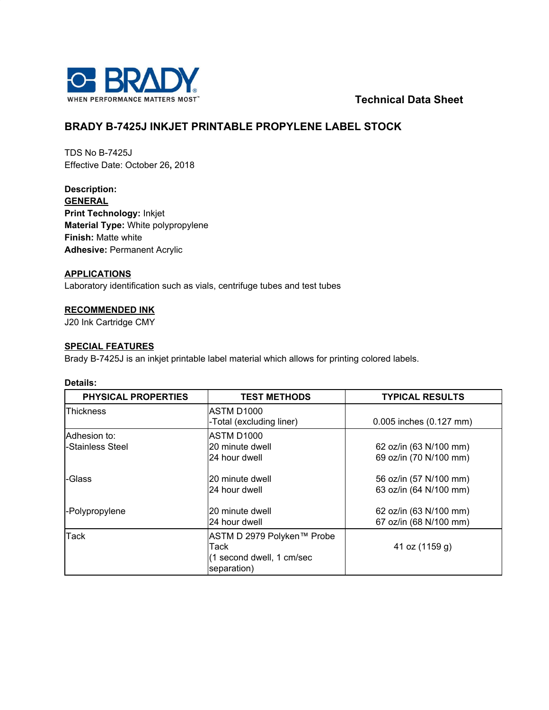

**Technical Data Sheet**

# **BRADY B-7425J INKJET PRINTABLE PROPYLENE LABEL STOCK**

TDS No B-7425J Effective Date: October 26**,** 2018

**Description: GENERAL Print Technology:** Inkjet **Material Type:** White polypropylene **Finish:** Matte white **Adhesive:** Permanent Acrylic

### **APPLICATIONS**

Laboratory identification such as vials, centrifuge tubes and test tubes

### **RECOMMENDED INK**

J20 Ink Cartridge CMY

### **SPECIAL FEATURES**

Brady B-7425J is an inkjet printable label material which allows for printing colored labels.

### **Details:**

| <b>PHYSICAL PROPERTIES</b>       | <b>TEST METHODS</b>                                                            | <b>TYPICAL RESULTS</b>                           |
|----------------------------------|--------------------------------------------------------------------------------|--------------------------------------------------|
| Thickness                        | ASTM D1000<br>-Total (excluding liner)                                         | 0.005 inches (0.127 mm)                          |
| Adhesion to:<br>-Stainless Steel | ASTM D1000<br>20 minute dwell<br>24 hour dwell                                 | 62 oz/in (63 N/100 mm)<br>69 oz/in (70 N/100 mm) |
| -Glass                           | 20 minute dwell<br>24 hour dwell                                               | 56 oz/in (57 N/100 mm)<br>63 oz/in (64 N/100 mm) |
| -Polypropylene                   | 20 minute dwell<br>24 hour dwell                                               | 62 oz/in (63 N/100 mm)<br>67 oz/in (68 N/100 mm) |
| Tack                             | ASTM D 2979 Polyken™ Probe<br>Tack<br>(1 second dwell, 1 cm/sec<br>separation) | 41 oz (1159 g)                                   |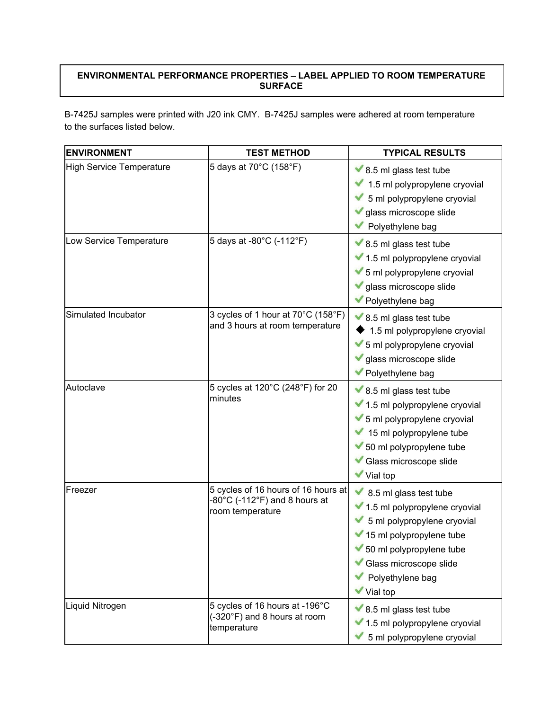## **ENVIRONMENTAL PERFORMANCE PROPERTIES – LABEL APPLIED TO ROOM TEMPERATURE SURFACE**

B-7425J samples were printed with J20 ink CMY. B-7425J samples were adhered at room temperature to the surfaces listed below.

| <b>ENVIRONMENT</b>       | <b>TEST METHOD</b>                                                                                            | <b>TYPICAL RESULTS</b>                                                                                                                                                                                                                               |
|--------------------------|---------------------------------------------------------------------------------------------------------------|------------------------------------------------------------------------------------------------------------------------------------------------------------------------------------------------------------------------------------------------------|
| High Service Temperature | 5 days at 70°C (158°F)                                                                                        | $\blacktriangleright$ 8.5 ml glass test tube<br>1.5 ml polypropylene cryovial<br>5 ml polypropylene cryovial<br>glass microscope slide<br>Polyethylene bag                                                                                           |
| Low Service Temperature  | 5 days at -80°C (-112°F)                                                                                      | $\blacktriangleright$ 8.5 ml glass test tube<br>◆ 1.5 ml polypropylene cryovial<br>5 ml polypropylene cryovial<br>glass microscope slide<br>Polyethylene bag                                                                                         |
| Simulated Incubator      | 3 cycles of 1 hour at 70°C (158°F)<br>and 3 hours at room temperature                                         | $\blacktriangleright$ 8.5 ml glass test tube<br>1.5 ml polypropylene cryovial<br>5 ml polypropylene cryovial<br>glass microscope slide<br>Polyethylene bag                                                                                           |
| Autoclave                | 5 cycles at 120°C (248°F) for 20<br>minutes                                                                   | $\blacktriangleright$ 8.5 ml glass test tube<br>◆ 1.5 ml polypropylene cryovial<br>◆ 5 ml polypropylene cryovial<br>15 ml polypropylene tube<br>◆ 50 ml polypropylene tube<br>Glass microscope slide<br><b>√</b> Vial top                            |
| Freezer                  | 5 cycles of 16 hours of 16 hours at<br>$-80^{\circ}$ C (-112 $^{\circ}$ F) and 8 hours at<br>room temperature | 8.5 ml glass test tube<br>$\blacktriangleright$ 1.5 ml polypropylene cryovial<br>5 ml polypropylene cryovial<br>$\blacktriangleright$ 15 ml polypropylene tube<br>50 ml polypropylene tube<br>Glass microscope slide<br>Polyethylene bag<br>Vial top |
| Liquid Nitrogen          | 5 cycles of 16 hours at -196°C<br>(-320°F) and 8 hours at room<br>temperature                                 | $\blacktriangleright$ 8.5 ml glass test tube<br>◆ 1.5 ml polypropylene cryovial<br>5 ml polypropylene cryovial                                                                                                                                       |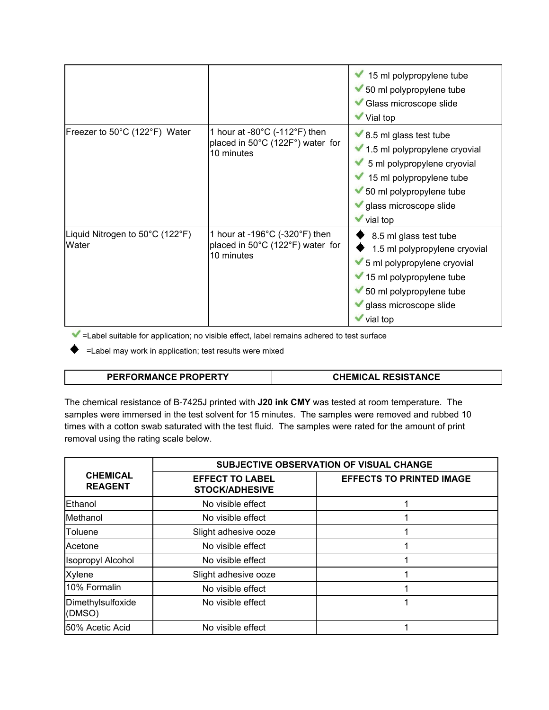|                                          |                                                                                                        | $\blacktriangleright$ 15 ml polypropylene tube<br>50 ml polypropylene tube<br>Glass microscope slide<br>$\blacktriangledown$ Vial top                                                                                                                      |
|------------------------------------------|--------------------------------------------------------------------------------------------------------|------------------------------------------------------------------------------------------------------------------------------------------------------------------------------------------------------------------------------------------------------------|
| Freezer to 50°C (122°F) Water            | 1 hour at -80 $^{\circ}$ C (-112 $^{\circ}$ F) then<br>placed in 50°C (122F°) water for<br>10 minutes  | $\blacktriangleright$ 8.5 ml glass test tube<br>1.5 ml polypropylene cryovial<br>$\blacktriangleright$ 5 ml polypropylene cryovial<br>$\blacktriangleright$ 15 ml polypropylene tube<br>◆ 50 ml polypropylene tube<br>I glass microscope slide<br>vial top |
| Liquid Nitrogen to 50°C (122°F)<br>Water | 1 hour at -196 $^{\circ}$ C (-320 $^{\circ}$ F) then<br>placed in 50°C (122°F) water for<br>10 minutes | 8.5 ml glass test tube<br>1.5 ml polypropylene cryovial<br>◆ 5 ml polypropylene cryovial<br>15 ml polypropylene tube<br>50 ml polypropylene tube<br>glass microscope slide<br>vial top                                                                     |

 $\blacktriangleright$  = Label suitable for application; no visible effect, label remains adhered to test surface

 $\blacklozenge$  =Label may work in application; test results were mixed

### **PERFORMANCE PROPERTY CHEMICAL RESISTANCE**

The chemical resistance of B-7425J printed with **J20 ink CMY** was tested at room temperature. The samples were immersed in the test solvent for 15 minutes. The samples were removed and rubbed 10 times with a cotton swab saturated with the test fluid. The samples were rated for the amount of print removal using the rating scale below.

|                                   | SUBJECTIVE OBSERVATION OF VISUAL CHANGE         |                                 |  |
|-----------------------------------|-------------------------------------------------|---------------------------------|--|
| <b>CHEMICAL</b><br><b>REAGENT</b> | <b>EFFECT TO LABEL</b><br><b>STOCK/ADHESIVE</b> | <b>EFFECTS TO PRINTED IMAGE</b> |  |
| Ethanol                           | No visible effect                               |                                 |  |
| Methanol                          | No visible effect                               |                                 |  |
| Toluene                           | Slight adhesive ooze                            |                                 |  |
| Acetone                           | No visible effect                               |                                 |  |
| <b>Isopropyl Alcohol</b>          | No visible effect                               |                                 |  |
| <b>Xylene</b>                     | Slight adhesive ooze                            |                                 |  |
| 10% Formalin                      | No visible effect                               |                                 |  |
| Dimethylsulfoxide<br>(DMSO)       | No visible effect                               |                                 |  |
| 50% Acetic Acid                   | No visible effect                               |                                 |  |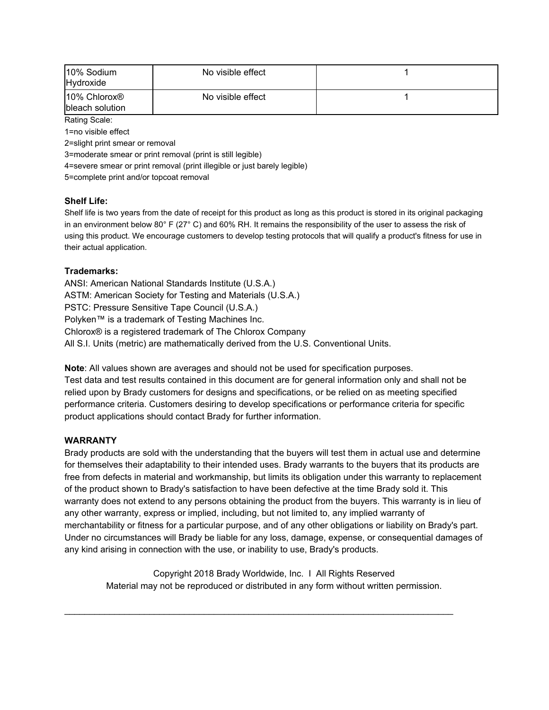| 10% Sodium<br>Hydroxide                     | No visible effect |  |
|---------------------------------------------|-------------------|--|
| 10% Chlorox <sup>®</sup><br>bleach solution | No visible effect |  |
| $D - 41 = D - 21 = 0$                       |                   |  |

Rating Scale: 1=no visible effect

2=slight print smear or removal

3=moderate smear or print removal (print is still legible)

4=severe smear or print removal (print illegible or just barely legible)

5=complete print and/or topcoat removal

### **Shelf Life:**

Shelf life is two years from the date of receipt for this product as long as this product is stored in its original packaging in an environment below 80 $^{\circ}$  F (27 $^{\circ}$  C) and 60% RH. It remains the responsibility of the user to assess the risk of using this product. We encourage customers to develop testing protocols that will qualify a product's fitness for use in their actual application.

### **Trademarks:**

ANSI: American National Standards Institute (U.S.A.) ASTM: American Society for Testing and Materials (U.S.A.) PSTC: Pressure Sensitive Tape Council (U.S.A.) Polyken™ is a trademark of Testing Machines Inc. Chlorox® is a registered trademark of The Chlorox Company All S.I. Units (metric) are mathematically derived from the U.S. Conventional Units.

**Note**: All values shown are averages and should not be used for specification purposes. Test data and test results contained in this document are for general information only and shall not be relied upon by Brady customers for designs and specifications, or be relied on as meeting specified performance criteria. Customers desiring to develop specifications or performance criteria for specific product applications should contact Brady for further information.

### **WARRANTY**

Brady products are sold with the understanding that the buyers will test them in actual use and determine for themselves their adaptability to their intended uses. Brady warrants to the buyers that its products are free from defects in material and workmanship, but limits its obligation under this warranty to replacement of the product shown to Brady's satisfaction to have been defective at the time Brady sold it. This warranty does not extend to any persons obtaining the product from the buyers. This warranty is in lieu of any other warranty, express or implied, including, but not limited to, any implied warranty of merchantability or fitness for a particular purpose, and of any other obligations or liability on Brady's part. Under no circumstances will Brady be liable for any loss, damage, expense, or consequential damages of any kind arising in connection with the use, or inability to use, Brady's products.

Copyright 2018 Brady Worldwide, Inc. I All Rights Reserved Material may not be reproduced or distributed in any form without written permission.

 $\mathcal{L}_\text{G} = \{ \mathcal{L}_\text{G} \mid \mathcal{L}_\text{G} \mid \mathcal{L}_\text{G} \mid \mathcal{L}_\text{G} \mid \mathcal{L}_\text{G} \mid \mathcal{L}_\text{G} \mid \mathcal{L}_\text{G} \mid \mathcal{L}_\text{G} \mid \mathcal{L}_\text{G} \mid \mathcal{L}_\text{G} \mid \mathcal{L}_\text{G} \mid \mathcal{L}_\text{G} \mid \mathcal{L}_\text{G} \mid \mathcal{L}_\text{G} \mid \mathcal{L}_\text{G} \mid \mathcal{L}_\text{G}$